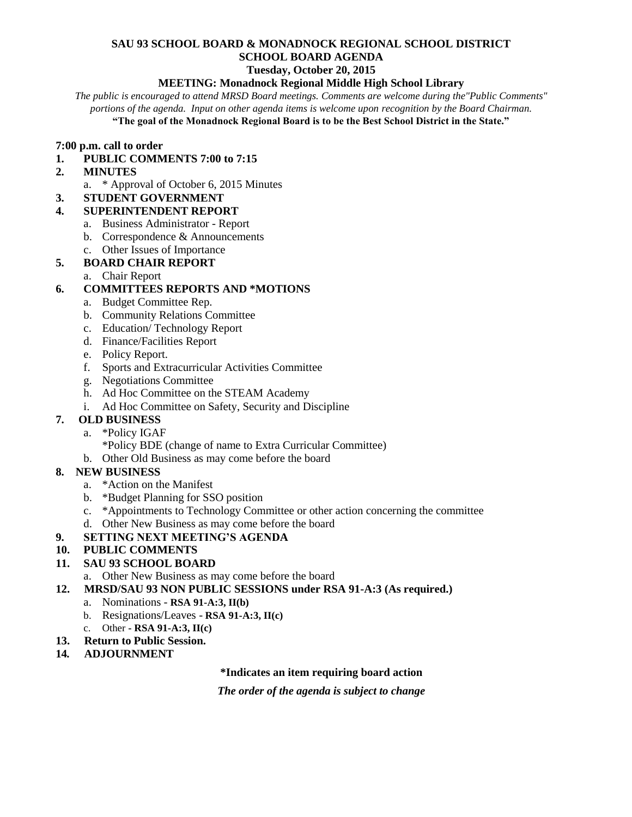# **SAU 93 SCHOOL BOARD & MONADNOCK REGIONAL SCHOOL DISTRICT SCHOOL BOARD AGENDA**

#### **Tuesday, October 20, 2015**

#### **MEETING: Monadnock Regional Middle High School Library**

*The public is encouraged to attend MRSD Board meetings. Comments are welcome during the"Public Comments" portions of the agenda. Input on other agenda items is welcome upon recognition by the Board Chairman.*

**"The goal of the Monadnock Regional Board is to be the Best School District in the State."**

#### **7:00 p.m. call to order**

#### **1. PUBLIC COMMENTS 7:00 to 7:15**

- **2. MINUTES** 
	- a. \* Approval of October 6, 2015 Minutes
- **3. STUDENT GOVERNMENT**

## **4. SUPERINTENDENT REPORT**

- a. Business Administrator Report
- b. Correspondence & Announcements
- c. Other Issues of Importance

## **5. BOARD CHAIR REPORT**

a. Chair Report

## **6. COMMITTEES REPORTS AND \*MOTIONS**

- a. Budget Committee Rep.
- b. Community Relations Committee
- c. Education/ Technology Report
- d. Finance/Facilities Report
- e. Policy Report.
- f. Sports and Extracurricular Activities Committee
- g. Negotiations Committee
- h. Ad Hoc Committee on the STEAM Academy
- i. Ad Hoc Committee on Safety, Security and Discipline

## **7. OLD BUSINESS**

- a. \*Policy IGAF
	- \*Policy BDE (change of name to Extra Curricular Committee)
- b. Other Old Business as may come before the board

## **8. NEW BUSINESS**

- a. \*Action on the Manifest
- b. \*Budget Planning for SSO position
- c. \*Appointments to Technology Committee or other action concerning the committee
- d. Other New Business as may come before the board

## **9. SETTING NEXT MEETING'S AGENDA**

**10. PUBLIC COMMENTS** 

## **11. SAU 93 SCHOOL BOARD**

- a. Other New Business as may come before the board
- **12. MRSD/SAU 93 NON PUBLIC SESSIONS under RSA 91-A:3 (As required.)**
	- a. Nominations **RSA 91-A:3, II(b)**
	- b. Resignations/Leaves **RSA 91-A:3, II(c)**
	- c. Other **- RSA 91-A:3, II(c)**
- **13. Return to Public Session.**
- **14***.* **ADJOURNMENT**

#### **\*Indicates an item requiring board action**

*The order of the agenda is subject to change*